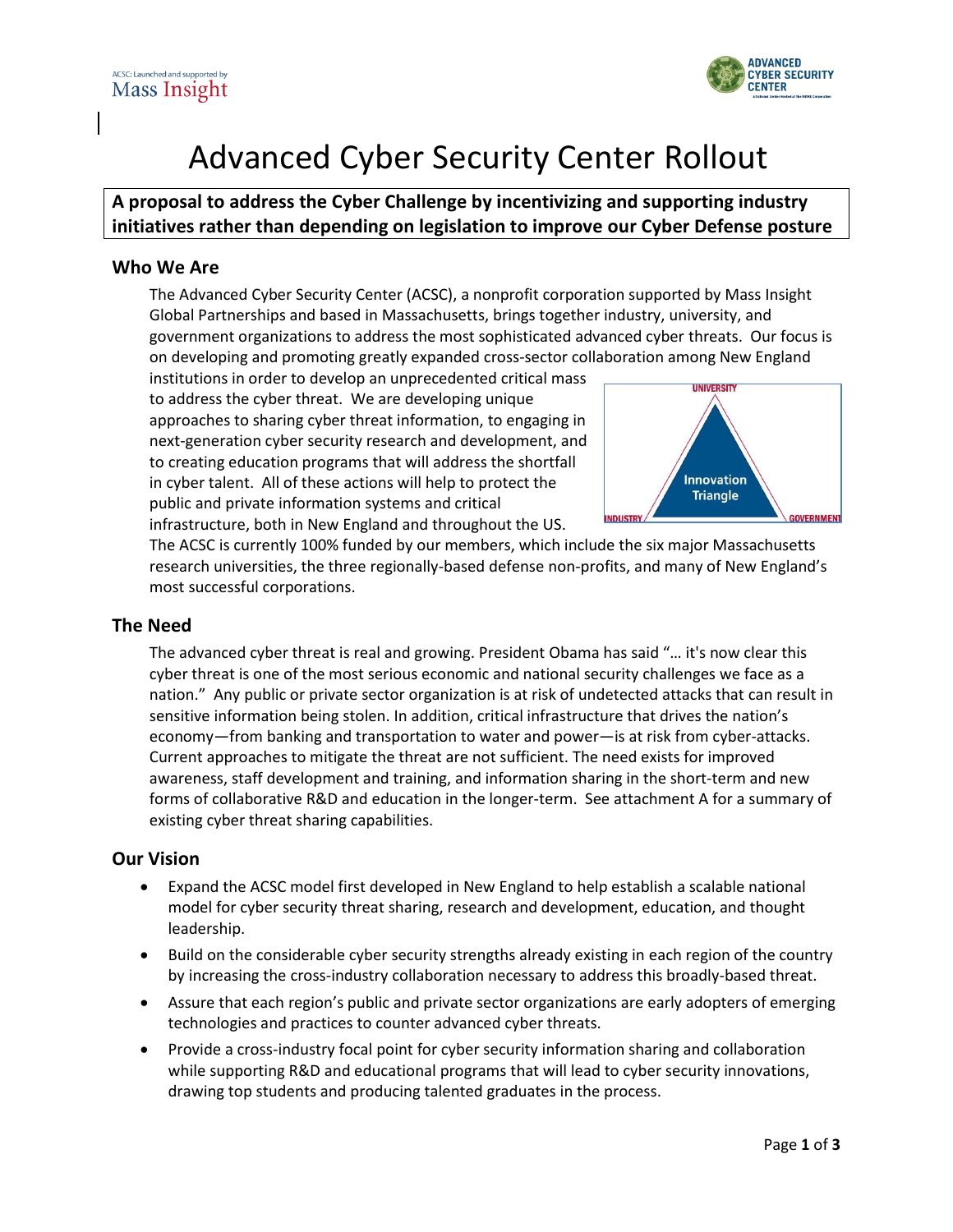

## Advanced Cyber Security Center Rollout

### **A proposal to address the Cyber Challenge by incentivizing and supporting industry initiatives rather than depending on legislation to improve our Cyber Defense posture**

#### **Who We Are**

The Advanced Cyber Security Center (ACSC), a nonprofit corporation supported by Mass Insight Global Partnerships and based in Massachusetts, brings together industry, university, and government organizations to address the most sophisticated advanced cyber threats. Our focus is on developing and promoting greatly expanded cross-sector collaboration among New England

institutions in order to develop an unprecedented critical mass to address the cyber threat. We are developing unique approaches to sharing cyber threat information, to engaging in next-generation cyber security research and development, and to creating education programs that will address the shortfall in cyber talent. All of these actions will help to protect the public and private information systems and critical infrastructure, both in New England and throughout the US.



The ACSC is currently 100% funded by our members, which include the six major Massachusetts research universities, the three regionally-based defense non-profits, and many of New England's most successful corporations.

#### **The Need**

The advanced cyber threat is real and growing. President Obama has said "… it's now clear this cyber threat is one of the most serious economic and national security challenges we face as a nation." Any public or private sector organization is at risk of undetected attacks that can result in sensitive information being stolen. In addition, critical infrastructure that drives the nation's economy—from banking and transportation to water and power—is at risk from cyber-attacks. Current approaches to mitigate the threat are not sufficient. The need exists for improved awareness, staff development and training, and information sharing in the short-term and new forms of collaborative R&D and education in the longer-term. See attachment A for a summary of existing cyber threat sharing capabilities.

#### **Our Vision**

- Expand the ACSC model first developed in New England to help establish a scalable national model for cyber security threat sharing, research and development, education, and thought leadership.
- Build on the considerable cyber security strengths already existing in each region of the country by increasing the cross-industry collaboration necessary to address this broadly-based threat.
- Assure that each region's public and private sector organizations are early adopters of emerging technologies and practices to counter advanced cyber threats.
- Provide a cross-industry focal point for cyber security information sharing and collaboration while supporting R&D and educational programs that will lead to cyber security innovations, drawing top students and producing talented graduates in the process.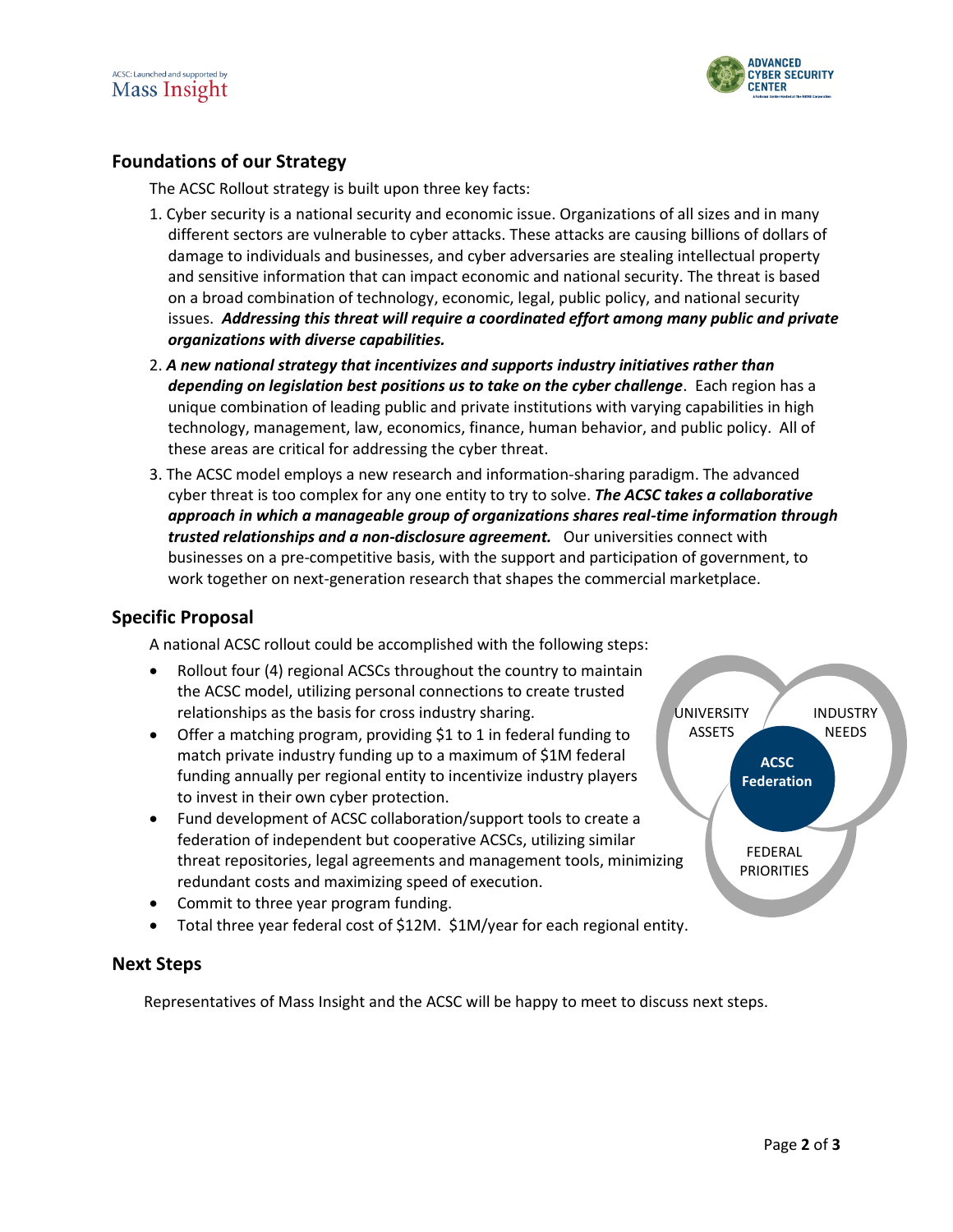



#### **Foundations of our Strategy**

The ACSC Rollout strategy is built upon three key facts:

- 1. Cyber security is a national security and economic issue. Organizations of all sizes and in many different sectors are vulnerable to cyber attacks. These attacks are causing billions of dollars of damage to individuals and businesses, and cyber adversaries are stealing intellectual property and sensitive information that can impact economic and national security. The threat is based on a broad combination of technology, economic, legal, public policy, and national security issues. *Addressing this threat will require a coordinated effort among many public and private organizations with diverse capabilities.*
- 2. *A new national strategy that incentivizes and supports industry initiatives rather than depending on legislation best positions us to take on the cyber challenge*. Each region has a unique combination of leading public and private institutions with varying capabilities in high technology, management, law, economics, finance, human behavior, and public policy. All of these areas are critical for addressing the cyber threat.
- 3. The ACSC model employs a new research and information-sharing paradigm. The advanced cyber threat is too complex for any one entity to try to solve. *The ACSC takes a collaborative approach in which a manageable group of organizations shares real-time information through trusted relationships and a non-disclosure agreement.* Our universities connect with businesses on a pre-competitive basis, with the support and participation of government, to work together on next-generation research that shapes the commercial marketplace.

#### **Specific Proposal**

A national ACSC rollout could be accomplished with the following steps:

- Rollout four (4) regional ACSCs throughout the country to maintain the ACSC model, utilizing personal connections to create trusted relationships as the basis for cross industry sharing.
- Offer a matching program, providing \$1 to 1 in federal funding to match private industry funding up to a maximum of \$1M federal funding annually per regional entity to incentivize industry players to invest in their own cyber protection.
- Fund development of ACSC collaboration/support tools to create a federation of independent but cooperative ACSCs, utilizing similar threat repositories, legal agreements and management tools, minimizing redundant costs and maximizing speed of execution.
- Commit to three year program funding.
- Total three year federal cost of \$12M. \$1M/year for each regional entity.

#### **Next Steps**

Representatives of Mass Insight and the ACSC will be happy to meet to discuss next steps.